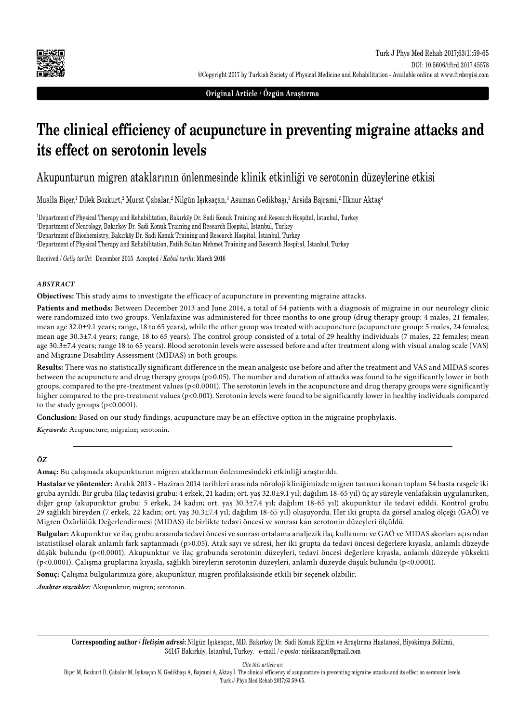

**Original Article / Özgün Araştırma**

# **The clinical efficiency of acupuncture in preventing migraine attacks and its effect on serotonin levels**

Akupunturun migren ataklarının önlenmesinde klinik etkinliği ve serotonin düzeylerine etkisi

Mualla Biçer,<sup>ı</sup> Dilek Bozkurt,<sup>2</sup> Murat Çabalar,<sup>2</sup> Nilgün Işıksaçan,<sup>3</sup> Asuman Gedikbaşı,<sup>3</sup> Arsida Bajrami,<sup>2</sup> Ilknur Aktaş<sup>4</sup>

 Department of Physical Therapy and Rehabilitation, Bakırköy Dr. Sadi Konuk Training and Research Hospital, İstanbul, Turkey Department of Neurology, Bakırköy Dr. Sadi Konuk Training and Research Hospital, İstanbul, Turkey Department of Biochemistry, Bakırköy Dr. Sadi Konuk Training and Research Hospital, İstanbul, Turkey Department of Physical Therapy and Rehabilitation, Fatih Sultan Mehmet Training and Research Hospital, İstanbul, Turkey

Received / *Geliş tarihi*: December 2015 Accepted / *Kabul tarihi*: March 2016

#### *ABSTRACT*

**Objectives:** This study aims to investigate the efficacy of acupuncture in preventing migraine attacks.

**Patients and methods:** Between December 2013 and June 2014, a total of 54 patients with a diagnosis of migraine in our neurology clinic were randomized into two groups. Venlafaxine was administered for three months to one group (drug therapy group: 4 males, 21 females; mean age 32.0±9.1 years; range, 18 to 65 years), while the other group was treated with acupuncture (acupuncture group: 5 males, 24 females; mean age 30.3±7.4 years; range, 18 to 65 years). The control group consisted of a total of 29 healthy individuals (7 males, 22 females; mean age 30.3±7.4 years; range 18 to 65 years). Blood serotonin levels were assessed before and after treatment along with visual analog scale (VAS) and Migraine Disability Assessment (MIDAS) in both groups.

**Results:** There was no statistically significant difference in the mean analgesic use before and after the treatment and VAS and MIDAS scores between the acupuncture and drug therapy groups (p>0.05). The number and duration of attacks was found to be significantly lower in both groups, compared to the pre-treatment values (p<0.0001). The serotonin levels in the acupuncture and drug therapy groups were significantly higher compared to the pre-treatment values (p<0.001). Serotonin levels were found to be significantly lower in healthy individuals compared to the study groups (p<0.0001).

**Conclusion:** Based on our study findings, acupuncture may be an effective option in the migraine prophylaxis.

*Keywords:* Acupuncture; migraine; serotonin.

#### *ÖZ*

**Amaç:** Bu çalışmada akupunkturun migren ataklarının önlenmesindeki etkinliği araştırıldı.

**Hastalar ve yöntemler:** Aralık 2013 - Haziran 2014 tarihleri arasında nöroloji kliniğimizde migren tanısını konan toplam 54 hasta rasgele iki gruba ayrıldı. Bir gruba (ilaç tedavisi grubu: 4 erkek, 21 kadın; ort. yaş 32.0±9.1 yıl; dağılım 18-65 yıl) üç ay süreyle venlafaksin uygulanırken, diğer grup (akupunktur grubu: 5 erkek, 24 kadın; ort. yaş 30.3±7.4 yıl; dağılım 18-65 yıl) akupunktur ile tedavi edildi. Kontrol grubu 29 sağlıklı bireyden (7 erkek, 22 kadın; ort. yaş 30.3±7.4 yıl; dağılım 18-65 yıl) oluşuyordu. Her iki grupta da görsel analog ölçeği (GAÖ) ve Migren Özürlülük Değerlendirmesi (MIDAS) ile birlikte tedavi öncesi ve sonrası kan serotonin düzeyleri ölçüldü.

**Bulgular:** Akupunktur ve ilaç grubu arasında tedavi öncesi ve sonrası ortalama analjezik ilaç kullanımı ve GAÖ ve MIDAS skorları açısından istatistiksel olarak anlamlı fark saptanmadı (p>0.05). Atak sayı ve süresi, her iki grupta da tedavi öncesi değerlere kıyasla, anlamlı düzeyde düşük bulundu (p<0.0001). Akupunktur ve ilaç grubunda serotonin düzeyleri, tedavi öncesi değerlere kıyasla, anlamlı düzeyde yüksekti (p<0.0001). Çalışma gruplarına kıyasla, sağlıklı bireylerin serotonin düzeyleri, anlamlı düzeyde düşük bulundu (p<0.0001).

**Sonuç:** Çalışma bulgularımıza göre, akupunktur, migren profilaksisinde etkili bir seçenek olabilir.

*Anahtar sözcükler:* Akupunktur; migren; serotonin.

**Corresponding author /** *İletişim adresi***:** Nilgün Işıksaçan, MD. Bakırköy Dr. Sadi Konuk Eğitim ve Araştırma Hastanesi, Biyokimya Bölümü, 34147 Bakırköy, İstanbul, Turkey. e-mail / *e-posta*: nisiksacan@gmail.com

*Cite this article as:*

Biçer M, Bozkurt D, Çabalar M, Işıksaçan N, Gedikbaşı A, Bajrami A, Aktaş İ. The clinical efficiency of acupuncture in preventing migraine attacks and its effect on serotonin levels. Turk J Phys Med Rehab 2017;63:59-65.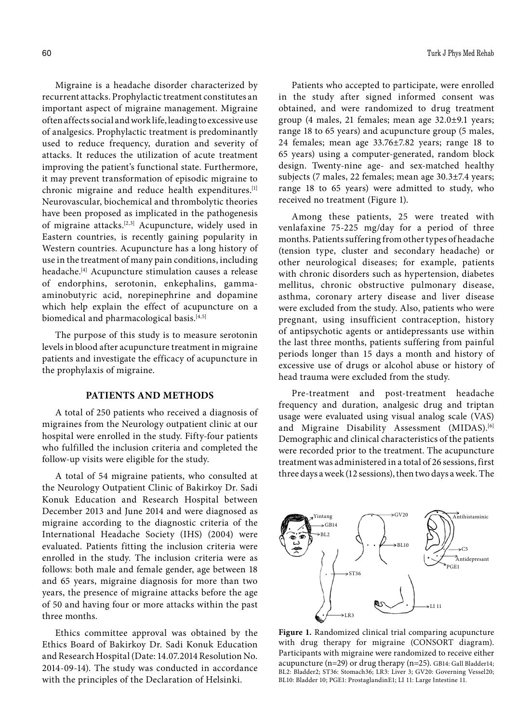Migraine is a headache disorder characterized by recurrent attacks. Prophylactic treatment constitutes an important aspect of migraine management. Migraine often affects social and work life, leading to excessive use of analgesics. Prophylactic treatment is predominantly used to reduce frequency, duration and severity of attacks. It reduces the utilization of acute treatment improving the patient's functional state. Furthermore, it may prevent transformation of episodic migraine to chronic migraine and reduce health expenditures.[1] Neurovascular, biochemical and thrombolytic theories have been proposed as implicated in the pathogenesis of migraine attacks.[2,3] Acupuncture, widely used in Eastern countries, is recently gaining popularity in Western countries. Acupuncture has a long history of use in the treatment of many pain conditions, including headache.[4] Acupuncture stimulation causes a release of endorphins, serotonin, enkephalins, gammaaminobutyric acid, norepinephrine and dopamine which help explain the effect of acupuncture on a biomedical and pharmacological basis.<sup>[4,5]</sup>

The purpose of this study is to measure serotonin levels in blood after acupuncture treatment in migraine patients and investigate the efficacy of acupuncture in the prophylaxis of migraine.

## **PATIENTS AND METHODS**

A total of 250 patients who received a diagnosis of migraines from the Neurology outpatient clinic at our hospital were enrolled in the study. Fifty-four patients who fulfilled the inclusion criteria and completed the follow-up visits were eligible for the study.

A total of 54 migraine patients, who consulted at the Neurology Outpatient Clinic of Bakirkoy Dr. Sadi Konuk Education and Research Hospital between December 2013 and June 2014 and were diagnosed as migraine according to the diagnostic criteria of the International Headache Society (IHS) (2004) were evaluated. Patients fitting the inclusion criteria were enrolled in the study. The inclusion criteria were as follows: both male and female gender, age between 18 and 65 years, migraine diagnosis for more than two years, the presence of migraine attacks before the age of 50 and having four or more attacks within the past three months.

Ethics committee approval was obtained by the Ethics Board of Bakirkoy Dr. Sadi Konuk Education and Research Hospital (Date: 14.07.2014 Resolution No. 2014-09-14). The study was conducted in accordance with the principles of the Declaration of Helsinki.

Patients who accepted to participate, were enrolled in the study after signed informed consent was obtained, and were randomized to drug treatment group (4 males, 21 females; mean age 32.0±9.1 years; range 18 to 65 years) and acupuncture group (5 males, 24 females; mean age 33.76±7.82 years; range 18 to 65 years) using a computer-generated, random block design. Twenty-nine age- and sex-matched healthy subjects (7 males, 22 females; mean age 30.3±7.4 years; range 18 to 65 years) were admitted to study, who received no treatment (Figure 1).

Among these patients, 25 were treated with venlafaxine 75-225 mg/day for a period of three months. Patients suffering from other types of headache (tension type, cluster and secondary headache) or other neurological diseases; for example, patients with chronic disorders such as hypertension, diabetes mellitus, chronic obstructive pulmonary disease, asthma, coronary artery disease and liver disease were excluded from the study. Also, patients who were pregnant, using insufficient contraception, history of antipsychotic agents or antidepressants use within the last three months, patients suffering from painful periods longer than 15 days a month and history of excessive use of drugs or alcohol abuse or history of head trauma were excluded from the study.

Pre-treatment and post-treatment headache frequency and duration, analgesic drug and triptan usage were evaluated using visual analog scale (VAS) and Migraine Disability Assessment (MIDAS).<sup>[6]</sup> Demographic and clinical characteristics of the patients were recorded prior to the treatment. The acupuncture treatment was administered in a total of 26 sessions, first three days a week (12 sessions), then two days a week. The



**Figure 1.** Randomized clinical trial comparing acupuncture with drug therapy for migraine (CONSORT diagram). Participants with migraine were randomized to receive either acupuncture (n=29) or drug therapy (n=25). GB14: Gall Bladder14; BL2: Bladder2; ST36: Stomach36; LR3: Liver 3; GV20: Governing Vessel20; BL10: Bladder 10; PGE1: ProstaglandinE1; LI 11: Large Intestine 11.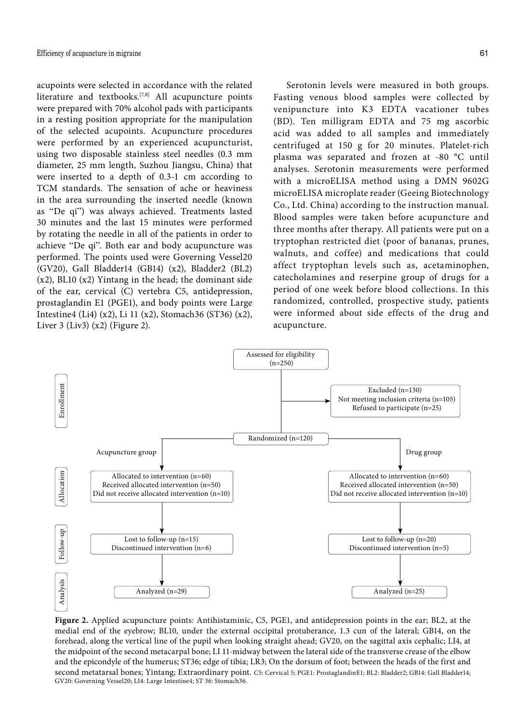acupoints were selected in accordance with the related literature and textbooks.<sup>[7,8]</sup> All acupuncture points were prepared with 70% alcohol pads with participants in a resting position appropriate for the manipulation of the selected acupoints. Acupuncture procedures were performed by an experienced acupuncturist, using two disposable stainless steel needles (0.3 mm diameter, 25 mm length, Suzhou Jiangsu, China) that were inserted to a depth of 0.3-1 cm according to TCM standards. The sensation of ache or heaviness in the area surrounding the inserted needle (known as "De qi") was always achieved. Treatments lasted 30 minutes and the last 15 minutes were performed by rotating the needle in all of the patients in order to achieve "De qi". Both ear and body acupuncture was performed. The points used were Governing Vessel20 (GV20), Gall Bladder14 (GB14) (x2), Bladder2 (BL2) (x2), BL10 (x2) Yintang in the head; the dominant side of the ear, cervical (C) vertebra C5, antidepression, prostaglandin E1 (PGE1), and body points were Large Intestine4 (Li4) (x2), Li 11 (x2), Stomach36 (ST36) (x2), Liver 3 (Liv3)  $(x2)$  (Figure 2).

Serotonin levels were measured in both groups. Fasting venous blood samples were collected by venipuncture into K3 EDTA vacationer tubes (BD). Ten milligram EDTA and 75 mg ascorbic acid was added to all samples and immediately centrifuged at 150 g for 20 minutes. Platelet-rich plasma was separated and frozen at -80 °C until analyses. Serotonin measurements were performed with a microELISA method using a DMN 9602G microELISA microplate reader (Geeing Biotechnology Co., Ltd. China) according to the instruction manual. Blood samples were taken before acupuncture and three months after therapy. All patients were put on a tryptophan restricted diet (poor of bananas, prunes, walnuts, and coffee) and medications that could affect tryptophan levels such as, acetaminophen, catecholamines and reserpine group of drugs for a period of one week before blood collections. In this randomized, controlled, prospective study, patients were informed about side effects of the drug and acupuncture.



**Figure 2.** Applied acupuncture points: Antihistaminic, C5, PGE1, and antidepression points in the ear; BL2, at the medial end of the eyebrow; BL10, under the external occipital protuberance, 1.3 cun of the lateral; GB14, on the forehead, along the vertical line of the pupil when looking straight ahead; GV20, on the sagittal axis cephalic; LI4, at the midpoint of the second metacarpal bone; LI 11-midway between the lateral side of the transverse crease of the elbow and the epicondyle of the humerus; ST36; edge of tibia; LR3; On the dorsum of foot; between the heads of the first and second metatarsal bones; Yintang; Extraordinary point. C5: Cervical 5; PGE1: ProstaglandinE1; BL2: Bladder2; GB14: Gall Bladder14;<br>GV20: Governing Vessel20; LI4: Large Intestine4; ST 36: Stomach36.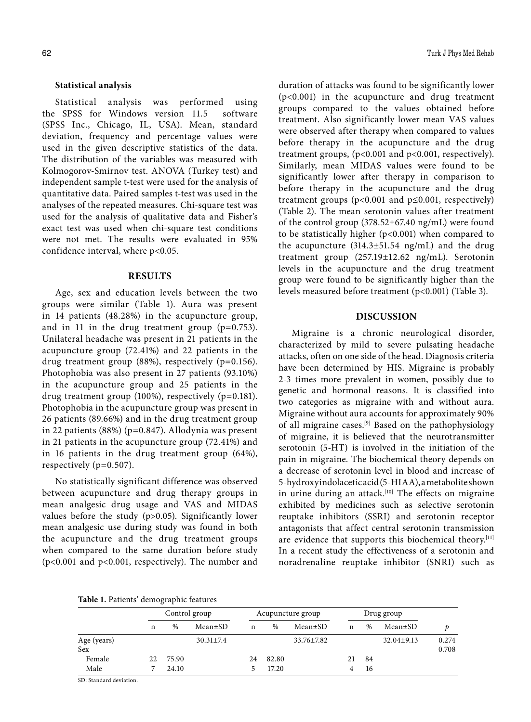## **Statistical analysis**

Statistical analysis was performed using the SPSS for Windows version 11.5 software (SPSS Inc., Chicago, IL, USA). Mean, standard deviation, frequency and percentage values were used in the given descriptive statistics of the data. The distribution of the variables was measured with Kolmogorov-Smirnov test. ANOVA (Turkey test) and independent sample t-test were used for the analysis of quantitative data. Paired samples t-test was used in the analyses of the repeated measures. Chi-square test was used for the analysis of qualitative data and Fisher's exact test was used when chi-square test conditions were not met. The results were evaluated in 95% confidence interval, where p<0.05.

#### **RESULTS**

Age, sex and education levels between the two groups were similar (Table 1). Aura was present in 14 patients (48.28%) in the acupuncture group, and in 11 in the drug treatment group (p=0.753). Unilateral headache was present in 21 patients in the acupuncture group (72.41%) and 22 patients in the drug treatment group  $(88%)$ , respectively  $(p=0.156)$ . Photophobia was also present in 27 patients (93.10%) in the acupuncture group and 25 patients in the drug treatment group (100%), respectively (p=0.181). Photophobia in the acupuncture group was present in 26 patients (89.66%) and in the drug treatment group in 22 patients (88%) (p=0.847). Allodynia was present in 21 patients in the acupuncture group (72.41%) and in 16 patients in the drug treatment group (64%), respectively (p=0.507).

No statistically significant difference was observed between acupuncture and drug therapy groups in mean analgesic drug usage and VAS and MIDAS values before the study (p>0.05). Significantly lower mean analgesic use during study was found in both the acupuncture and the drug treatment groups when compared to the same duration before study (p<0.001 and p<0.001, respectively). The number and duration of attacks was found to be significantly lower (p<0.001) in the acupuncture and drug treatment groups compared to the values obtained before treatment. Also significantly lower mean VAS values were observed after therapy when compared to values before therapy in the acupuncture and the drug treatment groups, (p<0.001 and p<0.001, respectively). Similarly, mean MIDAS values were found to be significantly lower after therapy in comparison to before therapy in the acupuncture and the drug treatment groups ( $p<0.001$  and  $p\leq 0.001$ , respectively) (Table 2). The mean serotonin values after treatment of the control group (378.52±67.40 ng/mL) were found to be statistically higher (p<0.001) when compared to the acupuncture (314.3±51.54 ng/mL) and the drug treatment group (257.19±12.62 ng/mL). Serotonin levels in the acupuncture and the drug treatment group were found to be significantly higher than the levels measured before treatment (p<0.001) (Table 3).

## **DISCUSSION**

Migraine is a chronic neurological disorder, characterized by mild to severe pulsating headache attacks, often on one side of the head. Diagnosis criteria have been determined by HIS. Migraine is probably 2-3 times more prevalent in women, possibly due to genetic and hormonal reasons. It is classified into two categories as migraine with and without aura. Migraine without aura accounts for approximately 90% of all migraine cases.[9] Based on the pathophysiology of migraine, it is believed that the neurotransmitter serotonin (5-HT) is involved in the initiation of the pain in migraine. The biochemical theory depends on a decrease of serotonin level in blood and increase of 5-hydroxyindolacetic acid (5-HIAA), a metabolite shown in urine during an attack.<sup>[10]</sup> The effects on migraine exhibited by medicines such as selective serotonin reuptake inhibitors (SSRI) and serotonin receptor antagonists that affect central serotonin transmission are evidence that supports this biochemical theory.<sup>[11]</sup> In a recent study the effectiveness of a serotonin and noradrenaline reuptake inhibitor (SNRI) such as

|             | Control group |       | Acupuncture group |    |       | Drug group       |    |      |                  |       |
|-------------|---------------|-------|-------------------|----|-------|------------------|----|------|------------------|-------|
|             | n             | $\%$  | $Mean \pm SD$     | n  | %     | $Mean \pm SD$    | n  | $\%$ | Mean±SD          | D     |
| Age (years) |               |       | $30.31 \pm 7.4$   |    |       | $33.76 \pm 7.82$ |    |      | $32.04 \pm 9.13$ | 0.274 |
| Sex         |               |       |                   |    |       |                  |    |      |                  | 0.708 |
| Female      | 22            | 75.90 |                   | 24 | 82.80 |                  | 21 | 84   |                  |       |
| Male        |               | 24.10 |                   |    | 17.20 |                  |    | 16   |                  |       |

SD: Standard deviation.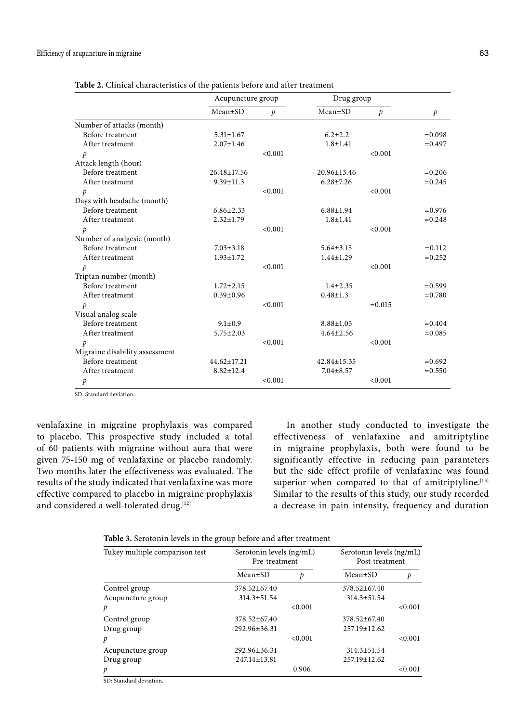|                                | Acupuncture group |               | Drug group      |               |               |
|--------------------------------|-------------------|---------------|-----------------|---------------|---------------|
|                                | $Mean \pm SD$     | $\mathcal{P}$ | $Mean \pm SD$   | $\mathcal{P}$ | $\mathcal{P}$ |
| Number of attacks (month)      |                   |               |                 |               |               |
| Before treatment               | $5.31 \pm 1.67$   |               | $6.2 \pm 2.2$   |               | $= 0.098$     |
| After treatment                | $2.07 \pm 1.46$   |               | $1.8 + 1.41$    |               | $= 0.497$     |
| p                              |                   | < 0.001       |                 | < 0.001       |               |
| Attack length (hour)           |                   |               |                 |               |               |
| Before treatment               | 26.48±17.56       |               | 20.96±13.46     |               | $= 0.206$     |
| After treatment                | $9.39 \pm 11.3$   |               | $6.28 \pm 7.26$ |               | $= 0.245$     |
| $\mathcal{P}$                  |                   | < 0.001       |                 | < 0.001       |               |
| Days with headache (month)     |                   |               |                 |               |               |
| Before treatment               | $6.86 \pm 2.33$   |               | $6.88 \pm 1.94$ |               | $= 0.976$     |
| After treatment                | $2.32 \pm 1.79$   |               | $1.8 + 1.41$    |               | $= 0.248$     |
| p                              |                   | < 0.001       |                 | < 0.001       |               |
| Number of analgesic (month)    |                   |               |                 |               |               |
| Before treatment               | $7.03 \pm 3.18$   |               | $5.64 \pm 3.15$ |               | $=0.112$      |
| After treatment                | $1.93 \pm 1.72$   |               | $1.44 \pm 1.29$ |               | $=0.252$      |
| $\mathcal{P}$                  |                   | < 0.001       |                 | < 0.001       |               |
| Triptan number (month)         |                   |               |                 |               |               |
| Before treatment               | $1.72 \pm 2.15$   |               | $1.4 \pm 2.35$  |               | $= 0.599$     |
| After treatment                | $0.39 \pm 0.96$   |               | $0.48 \pm 1.3$  |               | $= 0.780$     |
| $\mathcal{P}$                  |                   | < 0.001       |                 | $=0.015$      |               |
| Visual analog scale            |                   |               |                 |               |               |
| Before treatment               | $9.1 \pm 0.9$     |               | $8.88 \pm 1.05$ |               | $= 0.404$     |
| After treatment                | $5.75 \pm 2.03$   |               | $4.64 \pm 2.56$ |               | $=0.085$      |
| p                              |                   | < 0.001       |                 | < 0.001       |               |
| Migraine disability assessment |                   |               |                 |               |               |
| Before treatment               | 44.62±17.21       |               | 42.84±15.35     |               | $= 0.692$     |
| After treatment                | $8.82 \pm 12.4$   |               | $7.04 \pm 8.57$ |               | $= 0.550$     |
| $\mathcal{P}$                  |                   | < 0.001       |                 | < 0.001       |               |

**Table 2.** Clinical characteristics of the patients before and after treatment

SD: Standard deviation.

venlafaxine in migraine prophylaxis was compared to placebo. This prospective study included a total of 60 patients with migraine without aura that were given 75-150 mg of venlafaxine or placebo randomly. Two months later the effectiveness was evaluated. The results of the study indicated that venlafaxine was more effective compared to placebo in migraine prophylaxis and considered a well-tolerated drug.[12]

In another study conducted to investigate the effectiveness of venlafaxine and amitriptyline in migraine prophylaxis, both were found to be significantly effective in reducing pain parameters but the side effect profile of venlafaxine was found superior when compared to that of amitriptyline. $[13]$ Similar to the results of this study, our study recorded a decrease in pain intensity, frequency and duration

| Tukey multiple comparison test | Serotonin levels (ng/mL)<br>Pre-treatment |         | Serotonin levels (ng/mL)<br>Post-treatment |         |
|--------------------------------|-------------------------------------------|---------|--------------------------------------------|---------|
|                                | Mean±SD                                   | p       | Mean±SD                                    | p       |
| Control group                  | $378.52 \pm 67.40$                        |         | $378.52 \pm 67.40$                         |         |
| Acupuncture group              | $314.3 \pm 51.54$                         |         | $314.3 \pm 51.54$                          |         |
| p                              |                                           | < 0.001 |                                            | < 0.001 |
| Control group                  | $378.52 \pm 67.40$                        |         | $378.52 + 67.40$                           |         |
| Drug group                     | $292.96 \pm 36.31$                        |         | 257.19±12.62                               |         |
| p                              |                                           | < 0.001 |                                            | < 0.001 |
| Acupuncture group              | 292.96±36.31                              |         | 314.3±51.54                                |         |
| Drug group                     | $247.14 \pm 13.81$                        |         | 257.19±12.62                               |         |
| p                              |                                           | 0.906   |                                            | < 0.001 |

SD: Standard deviation.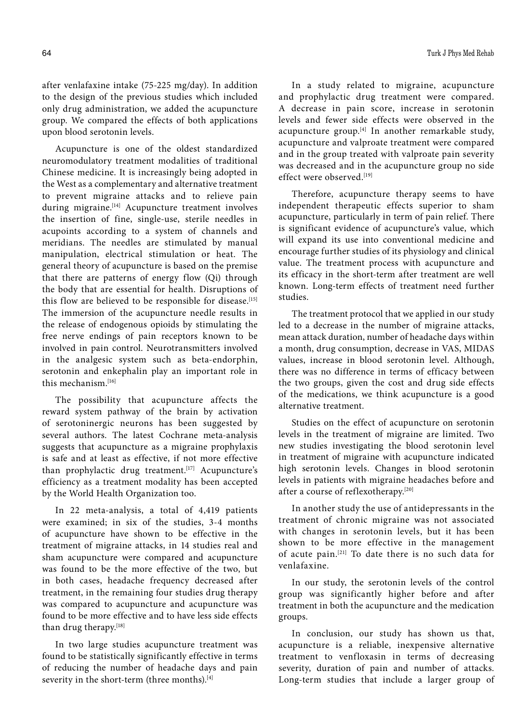after venlafaxine intake (75-225 mg/day). In addition to the design of the previous studies which included only drug administration, we added the acupuncture group. We compared the effects of both applications upon blood serotonin levels.

Acupuncture is one of the oldest standardized neuromodulatory treatment modalities of traditional Chinese medicine. It is increasingly being adopted in the West as a complementary and alternative treatment to prevent migraine attacks and to relieve pain during migraine.<sup>[14]</sup> Acupuncture treatment involves the insertion of fine, single-use, sterile needles in acupoints according to a system of channels and meridians. The needles are stimulated by manual manipulation, electrical stimulation or heat. The general theory of acupuncture is based on the premise that there are patterns of energy flow (Qi) through the body that are essential for health. Disruptions of this flow are believed to be responsible for disease.<sup>[15]</sup> The immersion of the acupuncture needle results in the release of endogenous opioids by stimulating the free nerve endings of pain receptors known to be involved in pain control. Neurotransmitters involved in the analgesic system such as beta-endorphin, serotonin and enkephalin play an important role in this mechanism.[16]

The possibility that acupuncture affects the reward system pathway of the brain by activation of serotoninergic neurons has been suggested by several authors. The latest Cochrane meta-analysis suggests that acupuncture as a migraine prophylaxis is safe and at least as effective, if not more effective than prophylactic drug treatment.<sup>[17]</sup> Acupuncture's efficiency as a treatment modality has been accepted by the World Health Organization too.

In 22 meta-analysis, a total of 4,419 patients were examined; in six of the studies, 3-4 months of acupuncture have shown to be effective in the treatment of migraine attacks, in 14 studies real and sham acupuncture were compared and acupuncture was found to be the more effective of the two, but in both cases, headache frequency decreased after treatment, in the remaining four studies drug therapy was compared to acupuncture and acupuncture was found to be more effective and to have less side effects than drug therapy.[18]

In two large studies acupuncture treatment was found to be statistically significantly effective in terms of reducing the number of headache days and pain severity in the short-term (three months).<sup>[4]</sup>

In a study related to migraine, acupuncture and prophylactic drug treatment were compared. A decrease in pain score, increase in serotonin levels and fewer side effects were observed in the acupuncture group. $[4]$  In another remarkable study, acupuncture and valproate treatment were compared and in the group treated with valproate pain severity was decreased and in the acupuncture group no side effect were observed.[19]

Therefore, acupuncture therapy seems to have independent therapeutic effects superior to sham acupuncture, particularly in term of pain relief. There is significant evidence of acupuncture's value, which will expand its use into conventional medicine and encourage further studies of its physiology and clinical value. The treatment process with acupuncture and its efficacy in the short-term after treatment are well known. Long-term effects of treatment need further studies.

The treatment protocol that we applied in our study led to a decrease in the number of migraine attacks, mean attack duration, number of headache days within a month, drug consumption, decrease in VAS, MIDAS values, increase in blood serotonin level. Although, there was no difference in terms of efficacy between the two groups, given the cost and drug side effects of the medications, we think acupuncture is a good alternative treatment.

Studies on the effect of acupuncture on serotonin levels in the treatment of migraine are limited. Two new studies investigating the blood serotonin level in treatment of migraine with acupuncture indicated high serotonin levels. Changes in blood serotonin levels in patients with migraine headaches before and after a course of reflexotherapy.[20]

In another study the use of antidepressants in the treatment of chronic migraine was not associated with changes in serotonin levels, but it has been shown to be more effective in the management of acute pain.[21] To date there is no such data for venlafaxine.

In our study, the serotonin levels of the control group was significantly higher before and after treatment in both the acupuncture and the medication groups.

In conclusion, our study has shown us that, acupuncture is a reliable, inexpensive alternative treatment to venfloxasin in terms of decreasing severity, duration of pain and number of attacks. Long-term studies that include a larger group of